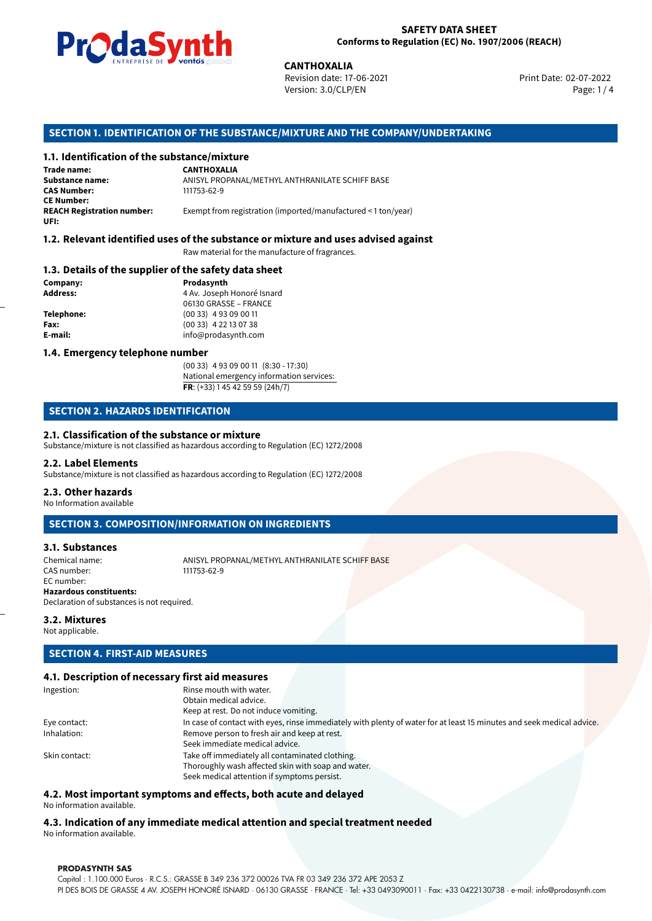

Revision date: 17-06-2021 Version: 3.0/CLP/EN Page: 1 / 4

Print Date: 02-07-2022

# **CANTHOXALIA**<br>
Revision date: 17<br>
Version: 3.0/CLP,<br> **OF THE SUBSTANCE/MIXTURE AND 1<br>
<b>tance/mixture**<br>
CANTHOXALIA **SECTION 1. IDENTIFICATION OF THE SUBSTANCE/MIXTURE AND THE COMPANY/UNDERTAKING**

# **1.1. Identification of the substance/mixture**

**Trade name: Substance name:** ANISYL PROPANAL/METHYL ANTHRANILATE SCHIFF BASE<br> **CAS Number:** 111753-62-9 **CAS Number:** 111753-62-9 **CE Number: UFI:**

Exempt from registration (imported/manufactured < 1 ton/year)

# **1.2. Relevant identified uses of the substance or mixture and uses advised against**

Raw material for the manufacture of fragrances.

# **1.3. Details of the supplier of the safety data sheet**

**Company: Prodasynth Address: Address: Prodasynth Address: Prodasynth Address: Prodasynth Address: Prodasynth Address: Prodasynth Address: Prodasynth Address: Prodasynth Address: Prodasynth Address: P Address:** 4 Av. Joseph Honoré Isnard 06130 GRASSE – FRANCE **Telephone:** (00 33) 4 93 09 00 11 **Fax:** (00 33) 4 22 13 07 38 **E-mail:** info@prodasynth.com

## **1.4. Emergency telephone number**

(00 33) 4 93 09 00 11 (8:30 - 17:30) National emergency information services: **FR**: (+33) 1 45 42 59 59 (24h/7)

# **SECTION 2. HAZARDS IDENTIFICATION**

## **2.1. Classification of the substance or mixture**

Substance/mixture is not classified as hazardous according to Regulation (EC) 1272/2008

#### **2.2. Label Elements**

Substance/mixture is not classified as hazardous according to Regulation (EC) 1272/2008

# **2.3. Other hazards**

No Information available

# **SECTION 3. COMPOSITION/INFORMATION ON INGREDIENTS**

# **3.1. Substances**

Chemical name: ANISYL PROPANAL/METHYL ANTHRANILATE SCHIFF BASE CAS number: EC number: **Hazardous constituents:** Declaration of substances is not required.

# **3.2. Mixtures**

Not applicable.

# **SECTION 4. FIRST-AID MEASURES**

# **4.1. Description of necessary first aid measures**

| Ingestion:    | Rinse mouth with water.                                                                                               |  |  |  |
|---------------|-----------------------------------------------------------------------------------------------------------------------|--|--|--|
|               | Obtain medical advice.                                                                                                |  |  |  |
|               | Keep at rest. Do not induce vomiting.                                                                                 |  |  |  |
| Eye contact:  | In case of contact with eyes, rinse immediately with plenty of water for at least 15 minutes and seek medical advice. |  |  |  |
| Inhalation:   | Remove person to fresh air and keep at rest.                                                                          |  |  |  |
|               | Seek immediate medical advice.                                                                                        |  |  |  |
| Skin contact: | Take off immediately all contaminated clothing.                                                                       |  |  |  |
|               | Thoroughly wash affected skin with soap and water.                                                                    |  |  |  |
|               | Seek medical attention if symptoms persist.                                                                           |  |  |  |

# **4.2. Most important symptoms and effects, both acute and delayed**

No information available.

# **4.3. Indication of any immediate medical attention and special treatment needed** No information available.

#### **PRODASYNTH SAS**

Capital : 1.100.000 Euros · R.C.S.: GRASSE B 349 236 372 00026 TVA FR 03 349 236 372 APE 2053 Z PI DES BOIS DE GRASSE 4 AV. JOSEPH HONORÉ ISNARD · 06130 GRASSE · FRANCE · Tel: +33 0493090011 · Fax: +33 0422130738 · e-mail: info@prodasynth.com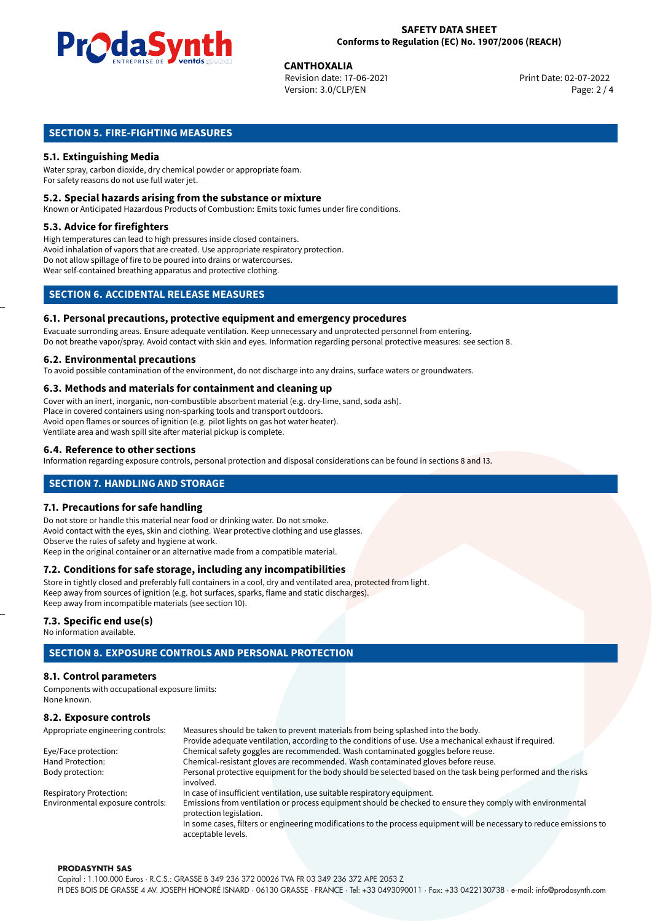

**CANTHOXALIA**<br>
Revision date: 17-06-2021 **Print Date: 02-07-2022** Version: 3.0/CLP/EN Page: 2 / 4

# **SECTION 5. FIRE-FIGHTING MEASURES**

# **5.1. Extinguishing Media**

Water spray, carbon dioxide, dry chemical powder or appropriate foam. For safety reasons do not use full water jet.

# **5.2. Special hazards arising from the substance or mixture**

Known or Anticipated Hazardous Products of Combustion: Emits toxic fumes under fire conditions.

# **5.3. Advice for firefighters**

High temperatures can lead to high pressures inside closed containers. Avoid inhalation of vapors that are created. Use appropriate respiratory protection. Do not allow spillage of fire to be poured into drains or watercourses. Wear self-contained breathing apparatus and protective clothing.

# **SECTION 6. ACCIDENTAL RELEASE MEASURES**

# **6.1. Personal precautions, protective equipment and emergency procedures**

Evacuate surronding areas. Ensure adequate ventilation. Keep unnecessary and unprotected personnel from entering. Do not breathe vapor/spray. Avoid contact with skin and eyes. Information regarding personal protective measures: see section 8.

# **6.2. Environmental precautions**

To avoid possible contamination of the environment, do not discharge into any drains, surface waters or groundwaters.

# **6.3. Methods and materials for containment and cleaning up**

Cover with an inert, inorganic, non-combustible absorbent material (e.g. dry-lime, sand, soda ash). Place in covered containers using non-sparking tools and transport outdoors. Avoid open flames or sources of ignition (e.g. pilot lights on gas hot water heater). Ventilate area and wash spill site after material pickup is complete.

# **6.4. Reference to other sections**

Information regarding exposure controls, personal protection and disposal considerations can be found in sections 8 and 13.

# **SECTION 7. HANDLING AND STORAGE**

## **7.1. Precautions for safe handling**

Do not store or handle this material near food or drinking water. Do not smoke. Avoid contact with the eyes, skin and clothing. Wear protective clothing and use glasses. Observe the rules of safety and hygiene at work. Keep in the original container or an alternative made from a compatible material.

# **7.2. Conditions for safe storage, including any incompatibilities**

Store in tightly closed and preferably full containers in a cool, dry and ventilated area, protected from light. Keep away from sources of ignition (e.g. hot surfaces, sparks, flame and static discharges). Keep away from incompatible materials (see section 10).

# **7.3. Specific end use(s)**

No information available.

# **SECTION 8. EXPOSURE CONTROLS AND PERSONAL PROTECTION**

# **8.1. Control parameters**

Components with occupational exposure limits: None known.

# **8.2. Exposure controls**

| Appropriate engineering controls: | Measures should be taken to prevent materials from being splashed into the body.                                                            |  |  |
|-----------------------------------|---------------------------------------------------------------------------------------------------------------------------------------------|--|--|
|                                   | Provide adequate ventilation, according to the conditions of use. Use a mechanical exhaust if required.                                     |  |  |
| Eye/Face protection:              | Chemical safety goggles are recommended. Wash contaminated goggles before reuse.                                                            |  |  |
| Hand Protection:                  | Chemical-resistant gloves are recommended. Wash contaminated gloves before reuse.                                                           |  |  |
| Body protection:                  | Personal protective equipment for the body should be selected based on the task being performed and the risks                               |  |  |
|                                   | involved.                                                                                                                                   |  |  |
| <b>Respiratory Protection:</b>    | In case of insufficient ventilation, use suitable respiratory equipment.                                                                    |  |  |
| Environmental exposure controls:  | Emissions from ventilation or process equipment should be checked to ensure they comply with environmental<br>protection legislation.       |  |  |
|                                   | In some cases, filters or engineering modifications to the process equipment will be necessary to reduce emissions to<br>acceptable levels. |  |  |

#### **PRODASYNTH SAS**

Capital : 1.100.000 Euros · R.C.S.: GRASSE B 349 236 372 00026 TVA FR 03 349 236 372 APE 2053 Z PI DES BOIS DE GRASSE 4 AV. JOSEPH HONORÉ ISNARD · 06130 GRASSE · FRANCE · Tel: +33 0493090011 · Fax: +33 0422130738 · e-mail: info@prodasynth.com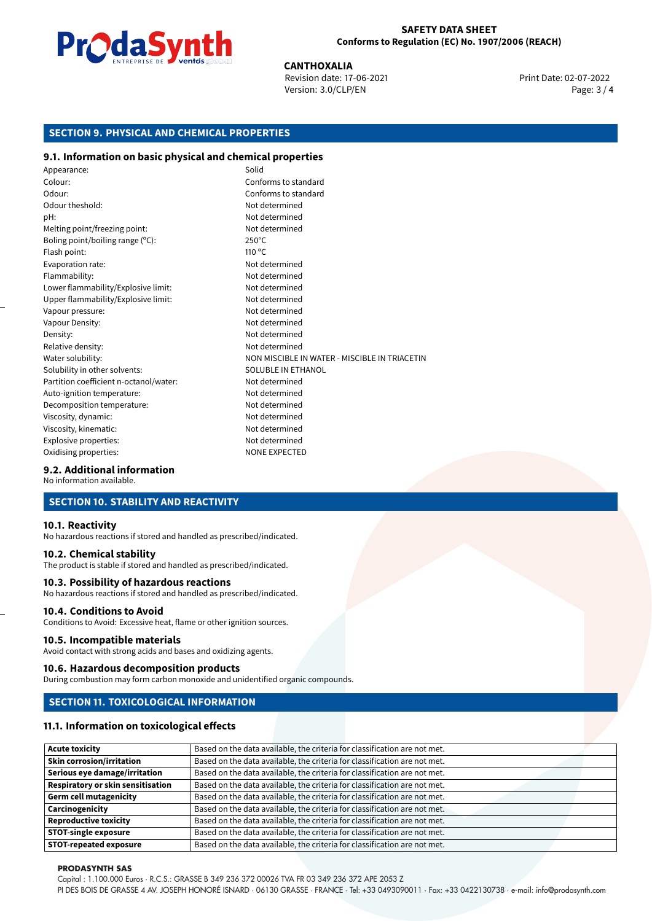

**CANTHOXALIA**<br>
Revision date: 17-06-2021 **Print Date: 02-07-2022** Version: 3.0/CLP/EN Page: 3 / 4

# **SECTION 9. PHYSICAL AND CHEMICAL PROPERTIES**

# **9.1. Information on basic physical and chemical properties**

Appearance: Solid Colour: Conforms to standard Odour: Conforms to standard Odour theshold: Not determined pH: Not determined Melting point/freezing point: Not determined Boling point/boiling range (°C): 250°C Flash point: 110 °C Evaporation rate: Not determined Flammability: Not determined Lower flammability/Explosive limit: Not determined Upper flammability/Explosive limit: Not determined Vapour pressure: Vapour pressure: Not determined Vapour Density: Not determined Density: Not determined Relative density: Not determined Water solubility: NON MISCIBLE IN WATER - MISCIBLE IN TRIACETIN Solubility in other solvents: SOLUBLE IN ETHANOL Partition coefficient n-octanol/water: Not determined Auto-ignition temperature: Not determined Decomposition temperature: Not determined Viscosity, dynamic:  $\blacksquare$ Viscosity, kinematic: Not determined Explosive properties: Not determined Oxidising properties: NONE EXPECTED

# **9.2. Additional information**

No information available.

# **SECTION 10. STABILITY AND REACTIVITY**

## **10.1. Reactivity**

No hazardous reactions if stored and handled as prescribed/indicated.

# **10.2. Chemical stability**

The product is stable if stored and handled as prescribed/indicated.

## **10.3. Possibility of hazardous reactions**

No hazardous reactions if stored and handled as prescribed/indicated.

# **10.4. Conditions to Avoid**

Conditions to Avoid: Excessive heat, flame or other ignition sources.

# **10.5. Incompatible materials**

Avoid contact with strong acids and bases and oxidizing agents.

# **10.6. Hazardous decomposition products**

During combustion may form carbon monoxide and unidentified organic compounds.

# **SECTION 11. TOXICOLOGICAL INFORMATION**

# **11.1. Information on toxicological effects**

| <b>Acute toxicity</b>                    | Based on the data available, the criteria for classification are not met. |
|------------------------------------------|---------------------------------------------------------------------------|
| <b>Skin corrosion/irritation</b>         | Based on the data available, the criteria for classification are not met. |
| Serious eye damage/irritation            | Based on the data available, the criteria for classification are not met. |
| <b>Respiratory or skin sensitisation</b> | Based on the data available, the criteria for classification are not met. |
| <b>Germ cell mutagenicity</b>            | Based on the data available, the criteria for classification are not met. |
| Carcinogenicity                          | Based on the data available, the criteria for classification are not met. |
| <b>Reproductive toxicity</b>             | Based on the data available, the criteria for classification are not met. |
| <b>STOT-single exposure</b>              | Based on the data available, the criteria for classification are not met. |
| <b>STOT-repeated exposure</b>            | Based on the data available, the criteria for classification are not met. |

#### **PRODASYNTH SAS**

Capital : 1.100.000 Euros · R.C.S.: GRASSE B 349 236 372 00026 TVA FR 03 349 236 372 APE 2053 Z

PI DES BOIS DE GRASSE 4 AV. JOSEPH HONORÉ ISNARD · 06130 GRASSE · FRANCE · Tel: +33 0493090011 · Fax: +33 0422130738 · e-mail: info@prodasynth.com